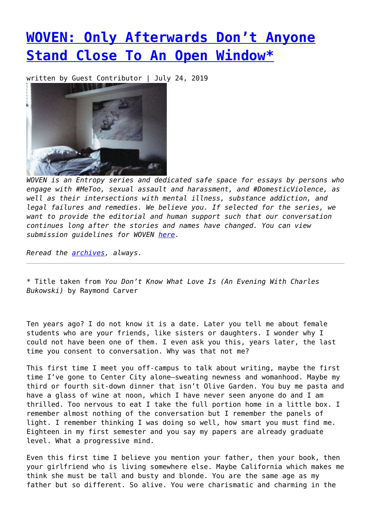## **[WOVEN: Only Afterwards Don't Anyone](https://entropymag.org/woven-only-afterwards-dont-anyone-stand-close-to-an-open-window/) [Stand Close To An Open Window\\*](https://entropymag.org/woven-only-afterwards-dont-anyone-stand-close-to-an-open-window/)**

written by Guest Contributor | July 24, 2019



*WOVEN is an Entropy series and dedicated safe space for essays by persons who engage with #MeToo, sexual assault and harassment, and #DomesticViolence, as well as their intersections with mental illness, substance addiction, and legal failures and remedies. We believe you. If selected for the series, we want to provide the editorial and human support such that our conversation continues long after the stories and names have changed. You can view submission guidelines for WOVEN [here.](https://entropymag.org/woven-call-for-submissions/)*

*Reread the [archives](https://entropymag.org/tag/woven/), always.* 

\* Title taken from *You Don't Know What Love Is (An Evening With Charles Bukowski)* by Raymond Carver

Ten years ago? I do not know it is a date. Later you tell me about female students who are your friends, like sisters or daughters. I wonder why I could not have been one of them. I even ask you this, years later, the last time you consent to conversation. Why was that not me?

This first time I meet you off-campus to talk about writing, maybe the first time I've gone to Center City alone—sweating newness and womanhood. Maybe my third or fourth sit-down dinner that isn't Olive Garden. You buy me pasta and have a glass of wine at noon, which I have never seen anyone do and I am thrilled. Too nervous to eat I take the full portion home in a little box. I remember almost nothing of the conversation but I remember the panels of light. I remember thinking I was doing so well, how smart you must find me. Eighteen in my first semester and you say my papers are already graduate level. What a progressive mind.

Even this first time I believe you mention your father, then your book, then your girlfriend who is living somewhere else. Maybe California which makes me think she must be tall and busty and blonde. You are the same age as my father but so different. So alive. You were charismatic and charming in the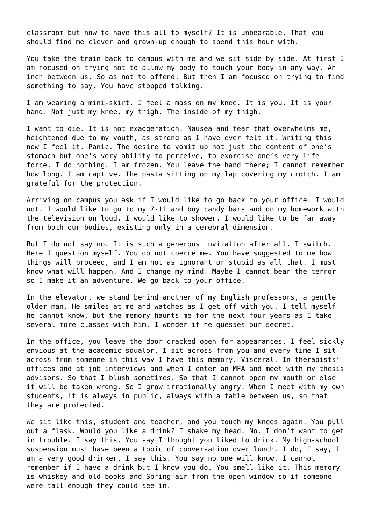classroom but now to have this all to myself? It is unbearable. That you should find me clever and grown-up enough to spend this hour with.

You take the train back to campus with me and we sit side by side. At first I am focused on trying not to allow my body to touch your body in any way. An inch between us. So as not to offend. But then I am focused on trying to find something to say. You have stopped talking.

I am wearing a mini-skirt. I feel a mass on my knee. It is you. It is your hand. Not just my knee, my thigh. The inside of my thigh.

I want to die. It is not exaggeration. Nausea and fear that overwhelms me, heightened due to my youth, as strong as I have ever felt it. Writing this now I feel it. Panic. The desire to vomit up not just the content of one's stomach but one's very ability to perceive, to exorcise one's very life force. I do nothing. I am frozen. You leave the hand there; I cannot remember how long. I am captive. The pasta sitting on my lap covering my crotch. I am grateful for the protection.

Arriving on campus you ask if I would like to go back to your office. I would not. I would like to go to my 7-11 and buy candy bars and do my homework with the television on loud. I would like to shower. I would like to be far away from both our bodies, existing only in a cerebral dimension.

But I do not say no. It is such a generous invitation after all. I switch. Here I question myself. You do not coerce me. You have suggested to me how things will proceed, and I am not as ignorant or stupid as all that. I must know what will happen. And I change my mind. Maybe I cannot bear the terror so I make it an adventure. We go back to your office.

In the elevator, we stand behind another of my English professors, a gentle older man. He smiles at me and watches as I get off with you. I tell myself he cannot know, but the memory haunts me for the next four years as I take several more classes with him. I wonder if he guesses our secret.

In the office, you leave the door cracked open for appearances. I feel sickly envious at the academic squalor. I sit across from you and every time I sit across from someone in this way I have this memory. Visceral. In therapists' offices and at job interviews and when I enter an MFA and meet with my thesis advisors. So that I blush sometimes. So that I cannot open my mouth or else it will be taken wrong. So I grow irrationally angry. When I meet with my own students, it is always in public, always with a table between us, so that they are protected.

We sit like this, student and teacher, and you touch my knees again. You pull out a flask. Would you like a drink? I shake my head. No. I don't want to get in trouble. I say this. You say I thought you liked to drink. My high-school suspension must have been a topic of conversation over lunch. I do, I say, I am a very good drinker. I say this. You say no one will know. I cannot remember if I have a drink but I know you do. You smell like it. This memory is whiskey and old books and Spring air from the open window so if someone were tall enough they could see in.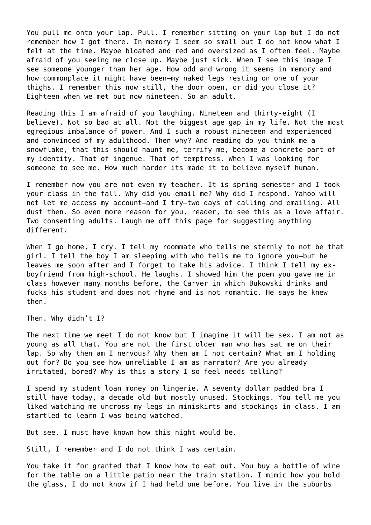You pull me onto your lap. Pull. I remember sitting on your lap but I do not remember how I got there. In memory I seem so small but I do not know what I felt at the time. Maybe bloated and red and oversized as I often feel. Maybe afraid of you seeing me close up. Maybe just sick. When I see this image I see someone younger than her age. How odd and wrong it seems in memory and how commonplace it might have been—my naked legs resting on one of your thighs. I remember this now still, the door open, or did you close it? Eighteen when we met but now nineteen. So an adult.

Reading this I am afraid of you laughing. Nineteen and thirty-eight (I believe). Not so bad at all. Not the biggest age gap in my life. Not the most egregious imbalance of power. And I such a robust nineteen and experienced and convinced of my adulthood. Then why? And reading do you think me a snowflake, that this should haunt me, terrify me, become a concrete part of my identity. That of ingenue. That of temptress. When I was looking for someone to see me. How much harder its made it to believe myself human.

I remember now you are not even my teacher. It is spring semester and I took your class in the fall. Why did you email me? Why did I respond. Yahoo will not let me access my account—and I try—two days of calling and emailing. All dust then. So even more reason for you, reader, to see this as a love affair. Two consenting adults. Laugh me off this page for suggesting anything different.

When I go home, I cry. I tell my roommate who tells me sternly to not be that girl. I tell the boy I am sleeping with who tells me to ignore you—but he leaves me soon after and I forget to take his advice. I think I tell my exboyfriend from high-school. He laughs. I showed him the poem you gave me in class however many months before, the Carver in which Bukowski drinks and fucks his student and does not rhyme and is not romantic. He says he knew then.

Then. Why didn't I?

The next time we meet I do not know but I imagine it will be sex. I am not as young as all that. You are not the first older man who has sat me on their lap. So why then am I nervous? Why then am I not certain? What am I holding out for? Do you see how unreliable I am as narrator? Are you already irritated, bored? Why is this a story I so feel needs telling?

I spend my student loan money on lingerie. A seventy dollar padded bra I still have today, a decade old but mostly unused. Stockings. You tell me you liked watching me uncross my legs in miniskirts and stockings in class. I am startled to learn I was being watched.

But see, I must have known how this night would be.

Still, I remember and I do not think I was certain.

You take it for granted that I know how to eat out. You buy a bottle of wine for the table on a little patio near the train station. I mimic how you hold the glass, I do not know if I had held one before. You live in the suburbs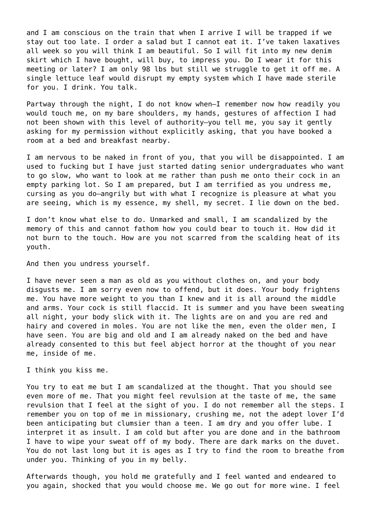and I am conscious on the train that when I arrive I will be trapped if we stay out too late. I order a salad but I cannot eat it. I've taken laxatives all week so you will think I am beautiful. So I will fit into my new denim skirt which I have bought, will buy, to impress you. Do I wear it for this meeting or later? I am only 98 lbs but still we struggle to get it off me. A single lettuce leaf would disrupt my empty system which I have made sterile for you. I drink. You talk.

Partway through the night, I do not know when—I remember now how readily you would touch me, on my bare shoulders, my hands, gestures of affection I had not been shown with this level of authority—you tell me, you say it gently asking for my permission without explicitly asking, that you have booked a room at a bed and breakfast nearby.

I am nervous to be naked in front of you, that you will be disappointed. I am used to fucking but I have just started dating senior undergraduates who want to go slow, who want to look at me rather than push me onto their cock in an empty parking lot. So I am prepared, but I am terrified as you undress me, cursing as you do—angrily but with what I recognize is pleasure at what you are seeing, which is my essence, my shell, my secret. I lie down on the bed.

I don't know what else to do. Unmarked and small, I am scandalized by the memory of this and cannot fathom how you could bear to touch it. How did it not burn to the touch. How are you not scarred from the scalding heat of its youth.

And then you undress yourself.

I have never seen a man as old as you without clothes on, and your body disgusts me. I am sorry even now to offend, but it does. Your body frightens me. You have more weight to you than I knew and it is all around the middle and arms. Your cock is still flaccid. It is summer and you have been sweating all night, your body slick with it. The lights are on and you are red and hairy and covered in moles. You are not like the men, even the older men, I have seen. You are big and old and I am already naked on the bed and have already consented to this but feel abject horror at the thought of you near me, inside of me.

I think you kiss me.

You try to eat me but I am scandalized at the thought. That you should see even more of me. That you might feel revulsion at the taste of me, the same revulsion that I feel at the sight of you. I do not remember all the steps. I remember you on top of me in missionary, crushing me, not the adept lover I'd been anticipating but clumsier than a teen. I am dry and you offer lube. I interpret it as insult. I am cold but after you are done and in the bathroom I have to wipe your sweat off of my body. There are dark marks on the duvet. You do not last long but it is ages as I try to find the room to breathe from under you. Thinking of you in my belly.

Afterwards though, you hold me gratefully and I feel wanted and endeared to you again, shocked that you would choose me. We go out for more wine. I feel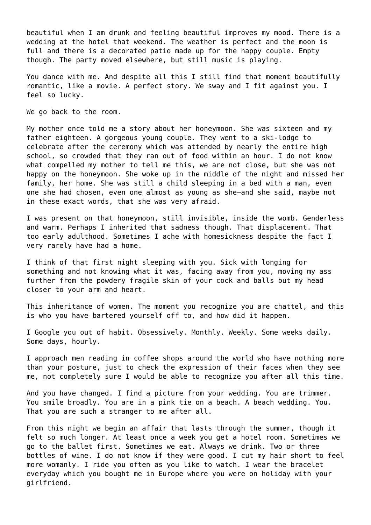beautiful when I am drunk and feeling beautiful improves my mood. There is a wedding at the hotel that weekend. The weather is perfect and the moon is full and there is a decorated patio made up for the happy couple. Empty though. The party moved elsewhere, but still music is playing.

You dance with me. And despite all this I still find that moment beautifully romantic, like a movie. A perfect story. We sway and I fit against you. I feel so lucky.

We go back to the room.

My mother once told me a story about her honeymoon. She was sixteen and my father eighteen. A gorgeous young couple. They went to a ski-lodge to celebrate after the ceremony which was attended by nearly the entire high school, so crowded that they ran out of food within an hour. I do not know what compelled my mother to tell me this, we are not close, but she was not happy on the honeymoon. She woke up in the middle of the night and missed her family, her home. She was still a child sleeping in a bed with a man, even one she had chosen, even one almost as young as she—and she said, maybe not in these exact words, that she was very afraid.

I was present on that honeymoon, still invisible, inside the womb. Genderless and warm. Perhaps I inherited that sadness though. That displacement. That too early adulthood. Sometimes I ache with homesickness despite the fact I very rarely have had a home.

I think of that first night sleeping with you. Sick with longing for something and not knowing what it was, facing away from you, moving my ass further from the powdery fragile skin of your cock and balls but my head closer to your arm and heart.

This inheritance of women. The moment you recognize you are chattel, and this is who you have bartered yourself off to, and how did it happen.

I Google you out of habit. Obsessively. Monthly. Weekly. Some weeks daily. Some days, hourly.

I approach men reading in coffee shops around the world who have nothing more than your posture, just to check the expression of their faces when they see me, not completely sure I would be able to recognize you after all this time.

And you have changed. I find a picture from your wedding. You are trimmer. You smile broadly. You are in a pink tie on a beach. A beach wedding. You. That you are such a stranger to me after all.

From this night we begin an affair that lasts through the summer, though it felt so much longer. At least once a week you get a hotel room. Sometimes we go to the ballet first. Sometimes we eat. Always we drink. Two or three bottles of wine. I do not know if they were good. I cut my hair short to feel more womanly. I ride you often as you like to watch. I wear the bracelet everyday which you bought me in Europe where you were on holiday with your girlfriend.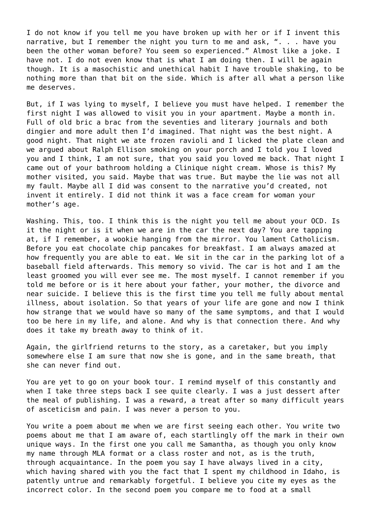I do not know if you tell me you have broken up with her or if I invent this narrative, but I remember the night you turn to me and ask, ". . . have you been the other woman before? You seem so experienced." Almost like a joke. I have not. I do not even know that is what I am doing then. I will be again though. It is a masochistic and unethical habit I have trouble shaking, to be nothing more than that bit on the side. Which is after all what a person like me deserves.

But, if I was lying to myself, I believe you must have helped. I remember the first night I was allowed to visit you in your apartment. Maybe a month in. Full of old bric a brac from the seventies and literary journals and both dingier and more adult then I'd imagined. That night was the best night. A good night. That night we ate frozen ravioli and I licked the plate clean and we argued about Ralph Ellison smoking on your porch and I told you I loved you and I think, I am not sure, that you said you loved me back. That night I came out of your bathroom holding a Clinique night cream. Whose is this? My mother visited, you said. Maybe that was true. But maybe the lie was not all my fault. Maybe all I did was consent to the narrative you'd created, not invent it entirely. I did not think it was a face cream for woman your mother's age.

Washing. This, too. I think this is the night you tell me about your OCD. Is it the night or is it when we are in the car the next day? You are tapping at, if I remember, a wookie hanging from the mirror. You lament Catholicism. Before you eat chocolate chip pancakes for breakfast. I am always amazed at how frequently you are able to eat. We sit in the car in the parking lot of a baseball field afterwards. This memory so vivid. The car is hot and I am the least groomed you will ever see me. The most myself. I cannot remember if you told me before or is it here about your father, your mother, the divorce and near suicide. I believe this is the first time you tell me fully about mental illness, about isolation. So that years of your life are gone and now I think how strange that we would have so many of the same symptoms, and that I would too be here in my life, and alone. And why is that connection there. And why does it take my breath away to think of it.

Again, the girlfriend returns to the story, as a caretaker, but you imply somewhere else I am sure that now she is gone, and in the same breath, that she can never find out.

You are yet to go on your book tour. I remind myself of this constantly and when I take three steps back I see quite clearly. I was a just dessert after the meal of publishing. I was a reward, a treat after so many difficult years of asceticism and pain. I was never a person to you.

You write a poem about me when we are first seeing each other. You write two poems about me that I am aware of, each startlingly off the mark in their own unique ways. In the first one you call me Samantha, as though you only know my name through MLA format or a class roster and not, as is the truth, through acquaintance. In the poem you say I have always lived in a city, which having shared with you the fact that I spent my childhood in Idaho, is patently untrue and remarkably forgetful. I believe you cite my eyes as the incorrect color. In the second poem you compare me to food at a small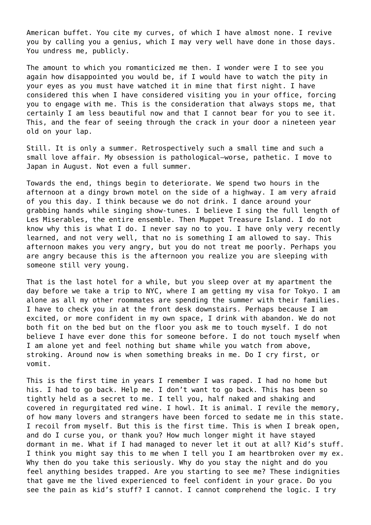American buffet. You cite my curves, of which I have almost none. I revive you by calling you a genius, which I may very well have done in those days. You undress me, publicly.

The amount to which you romanticized me then. I wonder were I to see you again how disappointed you would be, if I would have to watch the pity in your eyes as you must have watched it in mine that first night. I have considered this when I have considered visiting you in your office, forcing you to engage with me. This is the consideration that always stops me, that certainly I am less beautiful now and that I cannot bear for you to see it. This, and the fear of seeing through the crack in your door a nineteen year old on your lap.

Still. It is only a summer. Retrospectively such a small time and such a small love affair. My obsession is pathological—worse, pathetic. I move to Japan in August. Not even a full summer.

Towards the end, things begin to deteriorate. We spend two hours in the afternoon at a dingy brown motel on the side of a highway. I am very afraid of you this day. I think because we do not drink. I dance around your grabbing hands while singing show-tunes. I believe I sing the full length of Les Miserables, the entire ensemble. Then Muppet Treasure Island. I do not know why this is what I do. I never say no to you. I have only very recently learned, and not very well, that no is something I am allowed to say. This afternoon makes you very angry, but you do not treat me poorly. Perhaps you are angry because this is the afternoon you realize you are sleeping with someone still very young.

That is the last hotel for a while, but you sleep over at my apartment the day before we take a trip to NYC, where I am getting my visa for Tokyo. I am alone as all my other roommates are spending the summer with their families. I have to check you in at the front desk downstairs. Perhaps because I am excited, or more confident in my own space, I drink with abandon. We do not both fit on the bed but on the floor you ask me to touch myself. I do not believe I have ever done this for someone before. I do not touch myself when I am alone yet and feel nothing but shame while you watch from above, stroking. Around now is when something breaks in me. Do I cry first, or vomit.

This is the first time in years I remember I was raped. I had no home but his. I had to go back. Help me. I don't want to go back. This has been so tightly held as a secret to me. I tell you, half naked and shaking and covered in regurgitated red wine. I howl. It is animal. I revile the memory, of how many lovers and strangers have been forced to sedate me in this state. I recoil from myself. But this is the first time. This is when I break open, and do I curse you, or thank you? How much longer might it have stayed dormant in me. What if I had managed to never let it out at all? Kid's stuff. I think you might say this to me when I tell you I am heartbroken over my ex. Why then do you take this seriously. Why do you stay the night and do you feel anything besides trapped. Are you starting to see me? These indignities that gave me the lived experienced to feel confident in your grace. Do you see the pain as kid's stuff? I cannot. I cannot comprehend the logic. I try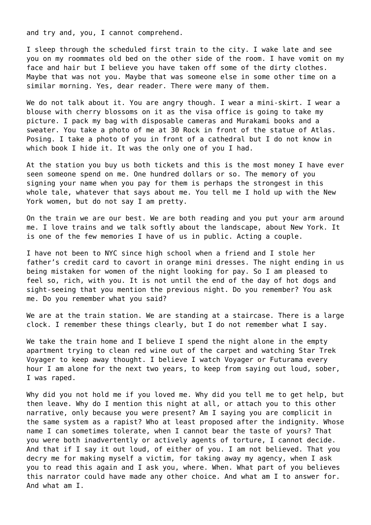and try and, you, I cannot comprehend.

I sleep through the scheduled first train to the city. I wake late and see you on my roommates old bed on the other side of the room. I have vomit on my face and hair but I believe you have taken off some of the dirty clothes. Maybe that was not you. Maybe that was someone else in some other time on a similar morning. Yes, dear reader. There were many of them.

We do not talk about it. You are angry though. I wear a mini-skirt. I wear a blouse with cherry blossoms on it as the visa office is going to take my picture. I pack my bag with disposable cameras and Murakami books and a sweater. You take a photo of me at 30 Rock in front of the statue of Atlas. Posing. I take a photo of you in front of a cathedral but I do not know in which book I hide it. It was the only one of you I had.

At the station you buy us both tickets and this is the most money I have ever seen someone spend on me. One hundred dollars or so. The memory of you signing your name when you pay for them is perhaps the strongest in this whole tale, whatever that says about me. You tell me I hold up with the New York women, but do not say I am pretty.

On the train we are our best. We are both reading and you put your arm around me. I love trains and we talk softly about the landscape, about New York. It is one of the few memories I have of us in public. Acting a couple.

I have not been to NYC since high school when a friend and I stole her father's credit card to cavort in orange mini dresses. The night ending in us being mistaken for women of the night looking for pay. So I am pleased to feel so, rich, with you. It is not until the end of the day of hot dogs and sight-seeing that you mention the previous night. Do you remember? You ask me. Do you remember what you said?

We are at the train station. We are standing at a staircase. There is a large clock. I remember these things clearly, but I do not remember what I say.

We take the train home and I believe I spend the night alone in the empty apartment trying to clean red wine out of the carpet and watching Star Trek Voyager to keep away thought. I believe I watch Voyager or Futurama every hour I am alone for the next two years, to keep from saying out loud, sober, I was raped.

Why did you not hold me if you loved me. Why did you tell me to get help, but then leave. Why do I mention this night at all, or attach you to this other narrative, only because you were present? Am I saying you are complicit in the same system as a rapist? Who at least proposed after the indignity. Whose name I can sometimes tolerate, when I cannot bear the taste of yours? That you were both inadvertently or actively agents of torture, I cannot decide. And that if I say it out loud, of either of you. I am not believed. That you decry me for making myself a victim, for taking away my agency, when I ask you to read this again and I ask you, where. When. What part of you believes this narrator could have made any other choice. And what am I to answer for. And what am I.